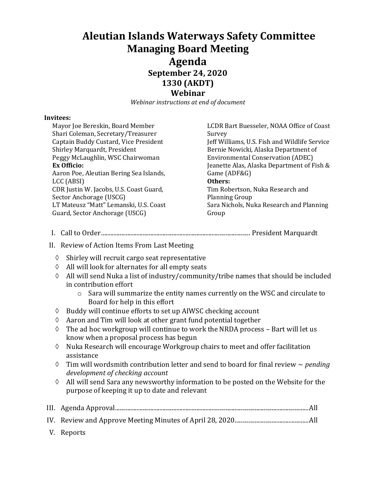## **Aleutian Islands Waterways Safety Committee Managing Board Meeting Agenda September 24, 2020 1330 (AKDT) Webinar**

*Webinar instructions at end of document*

## **Invitees:**

| Mayor Joe Bereskin, Board Member<br>Shari Coleman, Secretary/Treasurer | LCDR Bart Buesseler, NOAA Office of Coast<br>Survey |
|------------------------------------------------------------------------|-----------------------------------------------------|
| Captain Buddy Custard, Vice President                                  | Jeff Williams, U.S. Fish and Wildlife Service       |
| Shirley Marquardt, President                                           | Bernie Nowicki, Alaska Department of                |
| Peggy McLaughlin, WSC Chairwoman                                       | <b>Environmental Conservation (ADEC)</b>            |
| <b>Ex Officio:</b>                                                     | Jeanette Alas, Alaska Department of Fish &          |
| Aaron Poe, Aleutian Bering Sea Islands,                                | Game (ADF&G)                                        |
| LCC (ABSI)                                                             | Others:                                             |
| CDR Justin W. Jacobs, U.S. Coast Guard,                                | Tim Robertson, Nuka Research and                    |
| Sector Anchorage (USCG)                                                | <b>Planning Group</b>                               |
| LT Mateusz "Matt" Lemanski, U.S. Coast                                 | Sara Nichols, Nuka Research and Planning            |
| Guard, Sector Anchorage (USCG)                                         | Group                                               |
|                                                                        |                                                     |

- I. Call to Order................................................................................................. President Marquardt
- II. Review of Action Items From Last Meeting
	- $\Diamond$  Shirley will recruit cargo seat representative
	- $\Diamond$  All will look for alternates for all empty seats
	- $\Diamond$  All will send Nuka a list of industry/community/tribe names that should be included in contribution effort
		- o Sara will summarize the entity names currently on the WSC and circulate to Board for help in this effort
	- $\Diamond$  Buddy will continue efforts to set up AIWSC checking account
	- $\Diamond$  Aaron and Tim will look at other grant fund potential together
	- $\Diamond$  The ad hoc workgroup will continue to work the NRDA process Bart will let us know when a proposal process has begun
	- $\Diamond$  Nuka Research will encourage Workgroup chairs to meet and offer facilitation assistance
	- Tim will wordsmith contribution letter and send to board for final review ~ *pending development of checking account*
	- $\Diamond$  All will send Sara any newsworthy information to be posted on the Website for the purpose of keeping it up to date and relevant

|--|--|--|

- IV. Review and Approve Meeting Minutes of April 28, 2020................................................All
- V. Reports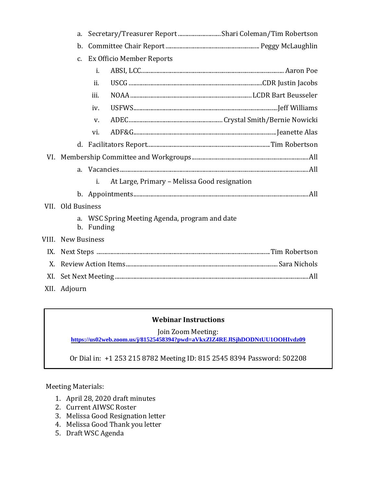|     | a.                        | Secretary/Treasurer Report Shari Coleman/Tim Robertson    |  |
|-----|---------------------------|-----------------------------------------------------------|--|
|     | b.                        |                                                           |  |
|     | $\mathsf{C}$ .            | Ex Officio Member Reports                                 |  |
|     |                           | i.                                                        |  |
|     |                           | ii.                                                       |  |
|     |                           | iii.                                                      |  |
|     |                           | iv.                                                       |  |
|     |                           | V.                                                        |  |
|     |                           | vi.                                                       |  |
|     |                           |                                                           |  |
|     |                           |                                                           |  |
|     | a.                        |                                                           |  |
|     |                           | At Large, Primary - Melissa Good resignation<br>i.        |  |
|     |                           |                                                           |  |
|     | VII. Old Business         |                                                           |  |
|     | a.                        | WSC Spring Meeting Agenda, program and date<br>b. Funding |  |
|     | <b>VIII.</b> New Business |                                                           |  |
|     |                           |                                                           |  |
| X.  |                           |                                                           |  |
| XI. |                           |                                                           |  |
|     | XII. Adjourn              |                                                           |  |

## **Webinar Instructions**

Join Zoom Meeting:

**[https://us02web.zoom.us/j/81525458394?pwd=aVkxZlZ4REJlSjhDODNtUU1OOHIvdz09](https://www.google.com/url?q=https://us02web.zoom.us/j/81525458394?pwd%3DaVkxZlZ4REJlSjhDODNtUU1OOHIvdz09&sa=D&source=calendar&ust=1601144310995000&usg=AOvVaw34XOf-COhDNrSYeIlD9L7H)**

Or Dial in: +1 253 215 8782 Meeting ID: 815 2545 8394 Password: 502208

Meeting Materials:

- 1. April 28, 2020 draft minutes
- 2. Current AIWSC Roster
- 3. Melissa Good Resignation letter
- 4. Melissa Good Thank you letter
- 5. Draft WSC Agenda